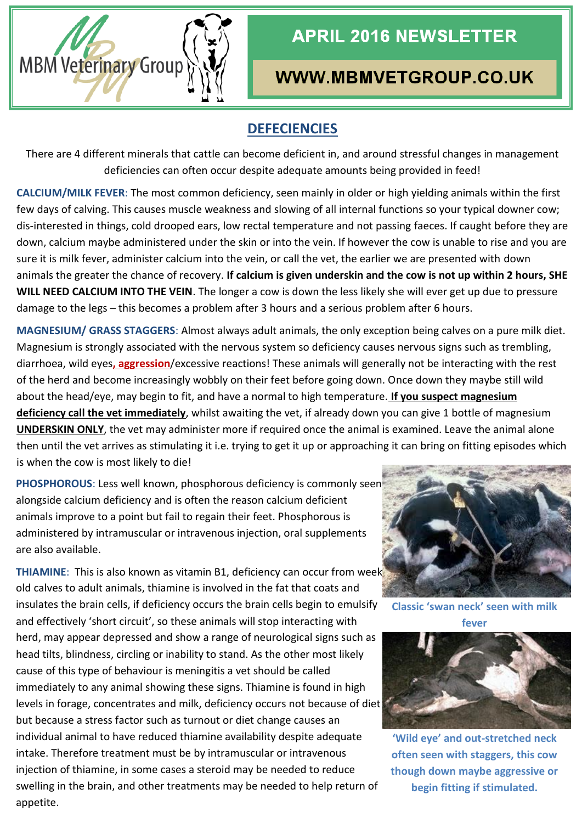

# **APRIL 2016 NEWSLETTER**

## WWW.MBMVETGROUP.CO.UK

### **DEFECIENCIES**

There are 4 different minerals that cattle can become deficient in, and around stressful changes in management deficiencies can often occur despite adequate amounts being provided in feed!

**CALCIUM/MILK FEVER**: The most common deficiency, seen mainly in older or high yielding animals within the first few days of calving. This causes muscle weakness and slowing of all internal functions so your typical downer cow; dis-interested in things, cold drooped ears, low rectal temperature and not passing faeces. If caught before they are down, calcium maybe administered under the skin or into the vein. If however the cow is unable to rise and you are sure it is milk fever, administer calcium into the vein, or call the vet, the earlier we are presented with down animals the greater the chance of recovery. **If calcium is given underskin and the cow is not up within 2 hours, SHE WILL NEED CALCIUM INTO THE VEIN**. The longer a cow is down the less likely she will ever get up due to pressure damage to the legs – this becomes a problem after 3 hours and a serious problem after 6 hours.

**MAGNESIUM/ GRASS STAGGERS**: Almost always adult animals, the only exception being calves on a pure milk diet. Magnesium is strongly associated with the nervous system so deficiency causes nervous signs such as trembling, diarrhoea, wild eyes**, aggression**/excessive reactions! These animals will generally not be interacting with the rest of the herd and become increasingly wobbly on their feet before going down. Once down they maybe still wild about the head/eye, may begin to fit, and have a normal to high temperature. **If you suspect magnesium deficiency call the vet immediately**, whilst awaiting the vet, if already down you can give 1 bottle of magnesium **UNDERSKIN ONLY**, the vet may administer more if required once the animal is examined. Leave the animal alone then until the vet arrives as stimulating it i.e. trying to get it up or approaching it can bring on fitting episodes which is when the cow is most likely to die!

**PHOSPHOROUS**: Less well known, phosphorous deficiency is commonly seen alongside calcium deficiency and is often the reason calcium deficient animals improve to a point but fail to regain their feet. Phosphorous is administered by intramuscular or intravenous injection, oral supplements are also available.

**THIAMINE:** This is also known as vitamin B1, deficiency can occur from week old calves to adult animals, thiamine is involved in the fat that coats and insulates the brain cells, if deficiency occurs the brain cells begin to emulsify and effectively 'short circuit', so these animals will stop interacting with herd, may appear depressed and show a range of neurological signs such as head tilts, blindness, circling or inability to stand. As the other most likely cause of this type of behaviour is meningitis a vet should be called immediately to any animal showing these signs. Thiamine is found in high levels in forage, concentrates and milk, deficiency occurs not because of diet but because a stress factor such as turnout or diet change causes an individual animal to have reduced thiamine availability despite adequate intake. Therefore treatment must be by intramuscular or intravenous injection of thiamine, in some cases a steroid may be needed to reduce swelling in the brain, and other treatments may be needed to help return of appetite.



**Classic 'swan neck' seen with milk fever**



**'Wild eye' and out-stretched neck often seen with staggers, this cow though down maybe aggressive or begin fitting if stimulated.**